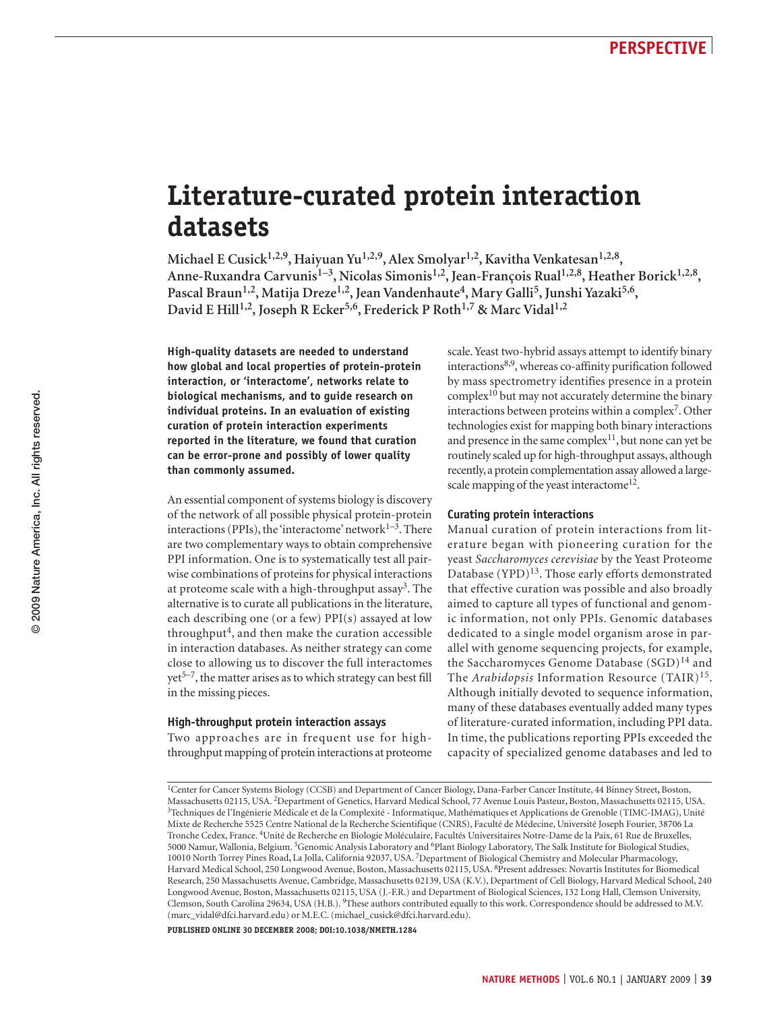# **Literature-curated protein interaction datasets**

Michael E Cusick<sup>1,2,9</sup>, Haiyuan Yu<sup>1,2,9</sup>, Alex Smolyar<sup>1,2</sup>, Kavitha Venkatesan<sup>1,2,8</sup>, Anne-Ruxandra Carvunis<sup>1-3</sup>, Nicolas Simonis<sup>1,2</sup>, Jean-François Rual<sup>1,2,8</sup>, Heather Borick<sup>1,2,8</sup>, Pascal Braun<sup>1,2</sup>, Matija Dreze<sup>1,2</sup>, Jean Vandenhaute<sup>4</sup>, Mary Galli<sup>5</sup>, Junshi Yazaki<sup>5,6</sup>, **David E Hill1,2, Joseph R Ecker5,6, Frederick P Roth1,7 & Marc Vidal1,2**

**High-quality datasets are needed to understand how global and local properties of protein-protein interaction, or 'interactome', networks relate to biological mechanisms, and to guide research on individual proteins. In an evaluation of existing curation of protein interaction experiments reported in the literature, we found that curation can be error-prone and possibly of lower quality than commonly assumed.**

An essential component of systems biology is discovery of the network of all possible physical protein-protein interactions (PPIs), the 'interactome' network $1-3$ . There are two complementary ways to obtain comprehensive PPI information. One is to systematically test all pairwise combinations of proteins for physical interactions at proteome scale with a high-throughput assay3. The alternative is to curate all publications in the literature, each describing one (or a few) PPI(s) assayed at low throughput<sup>4</sup>, and then make the curation accessible in interaction databases. As neither strategy can come close to allowing us to discover the full interactomes  $yet^{5-7}$ , the matter arises as to which strategy can best fill in the missing pieces.

#### **High-throughput protein interaction assays**

Two approaches are in frequent use for highthroughput mapping of protein interactions at proteome scale. Yeast two-hybrid assays attempt to identify binary interactions8,9, whereas co-affinity purification followed by mass spectrometry identifies presence in a protein complex<sup>10</sup> but may not accurately determine the binary interactions between proteins within a complex<sup>7</sup>. Other technologies exist for mapping both binary interactions and presence in the same complex<sup>11</sup>, but none can yet be routinely scaled up for high-throughput assays, although recently, a protein complementation assay allowed a largescale mapping of the yeast interactome<sup>12</sup>.

### **Curating protein interactions**

Manual curation of protein interactions from literature began with pioneering curation for the yeast *Saccharomyces cerevisiae* by the Yeast Proteome Database  $(YPD)^{13}$ . Those early efforts demonstrated that effective curation was possible and also broadly aimed to capture all types of functional and genomic information, not only PPIs. Genomic databases dedicated to a single model organism arose in parallel with genome sequencing projects, for example, the Saccharomyces Genome Database  $(SGD)^{14}$  and The *Arabidopsis* Information Resource (TAIR)<sup>15</sup>. Although initially devoted to sequence information, many of these databases eventually added many types of literature-curated information, including PPI data. In time, the publications reporting PPIs exceeded the capacity of specialized genome databases and led to

**PUBLISHED ONLINE 30 December 2008; DOI:10.1038/NMETH.1284**

<sup>1</sup>Center for Cancer Systems Biology (CCSB) and Department of Cancer Biology, Dana-Farber Cancer Institute, 44 Binney Street**,** Boston, Massachusetts 02115, USA. <sup>2</sup>Department of Genetics, Harvard Medical School, 77 Avenue Louis Pasteur, Boston, Massachusetts 02115, USA.<br><sup>3</sup>Techniques de l'Ingénierie Médicale et de la Complexité - Informatique, Mathématiqu Mixte de Recherche 5525 Centre National de la Recherche Scientifique (CNRS), Faculté de Médecine, Université Joseph Fourier, 38706 La Tronche Cedex, France. 4Unité de Recherche en Biologie Moléculaire, Facultés Universitaires Notre-Dame de la Paix, 61 Rue de Bruxelles, 5000 Namur, Wallonia, Belgium. 5Genomic Analysis Laboratory and 6Plant Biology Laboratory, The Salk Institute for Biological Studies, 10010 North Torrey Pines Road**,** La Jolla, California 92037, USA. 7Department of Biological Chemistry and Molecular Pharmacology, Harvard Medical School, 250 Longwood Avenue, Boston, Massachusetts 02115, USA. 8Present addresses: Novartis Institutes for Biomedical Research, 250 Massachusetts Avenue, Cambridge, Massachusetts 02139, USA (K.V.), Department of Cell Biology, Harvard Medical School, 240 Longwood Avenue, Boston, Massachusetts 02115, USA (J.-F.R.) and Department of Biological Sciences, 132 Long Hall, Clemson University, Clemson, South Carolina 29634, USA (H.B.). 9These authors contributed equally to this work. Correspondence should be addressed to M.V. [\(marc\\_vidal@dfci.harvard.edu](mailto:marc_vidal@dfci.harvard.edu)) or M.E.C. [\(michael\\_cusick@dfci.harvard.edu](mailto:michael_cusick@dfci.harvard.edu)).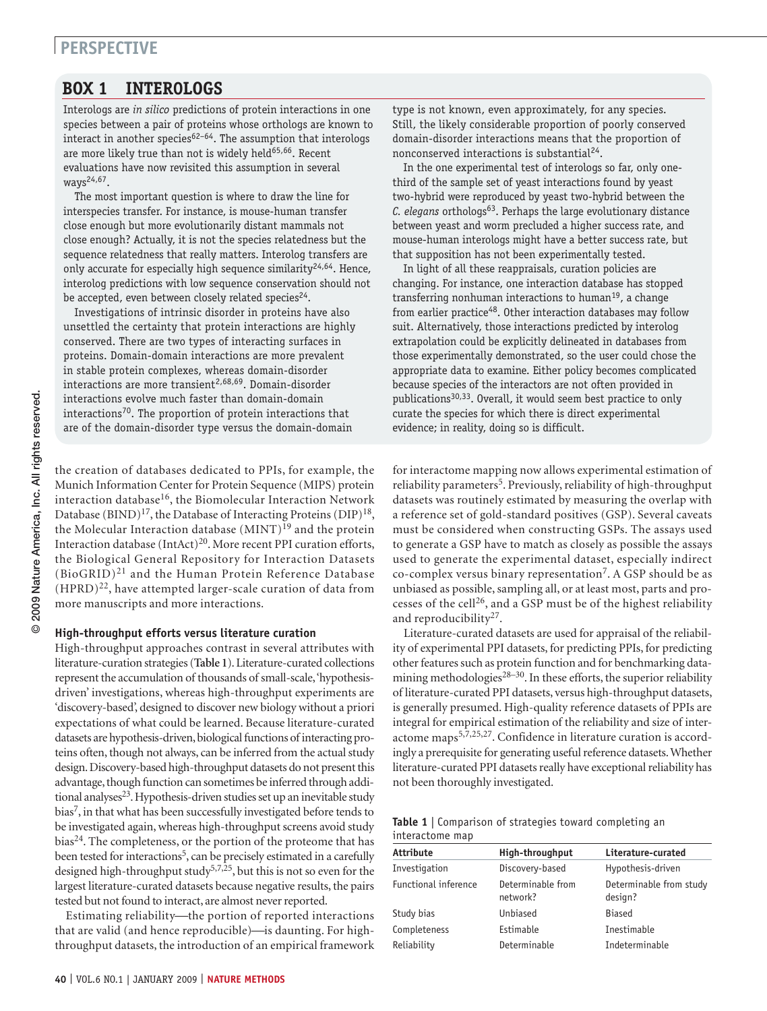### **BOX 1 inter0logs**

Interologs are *in silico* predictions of protein interactions in one species between a pair of proteins whose orthologs are known to interact in another species $62-64$ . The assumption that interologs are more likely true than not is widely held<sup>65,66</sup>. Recent evaluations have now revisited this assumption in several ways24,67.

The most important question is where to draw the line for interspecies transfer. For instance, is mouse-human transfer close enough but more evolutionarily distant mammals not close enough? Actually, it is not the species relatedness but the sequence relatedness that really matters. Interolog transfers are only accurate for especially high sequence similarity<sup>24,64</sup>. Hence, interolog predictions with low sequence conservation should not be accepted, even between closely related species<sup>24</sup>.

Investigations of intrinsic disorder in proteins have also unsettled the certainty that protein interactions are highly conserved. There are two types of interacting surfaces in proteins. Domain-domain interactions are more prevalent in stable protein complexes, whereas domain-disorder interactions are more transient<sup>2,68,69</sup>. Domain-disorder interactions evolve much faster than domain-domain interactions<sup>70</sup>. The proportion of protein interactions that are of the domain-disorder type versus the domain-domain

the creation of databases dedicated to PPIs, for example, the Munich Information Center for Protein Sequence (MIPS) protein interaction database<sup>16</sup>, the Biomolecular Interaction Network Database (BIND)<sup>17</sup>, the Database of Interacting Proteins (DIP)<sup>18</sup>, the Molecular Interaction database (MINT)<sup>19</sup> and the protein Interaction database  $(IntAct)^{20}$ . More recent PPI curation efforts, the Biological General Repository for Interaction Datasets (BioGRID)21 and the Human Protein Reference Database  $(HPRD)^{22}$ , have attempted larger-scale curation of data from more manuscripts and more interactions.

#### **High-throughput efforts versus literature curation**

High-throughput approaches contrast in several attributes with literature-curation strategies (**Table 1**). Literature-curated collections represent the accumulation of thousands of small-scale, 'hypothesisdriven' investigations, whereas high-throughput experiments are 'discovery-based', designed to discover new biology without a priori expectations of what could be learned. Because literature-curated datasets are hypothesis-driven, biological functions of interacting proteins often, though not always, can be inferred from the actual study design. Discovery-based high-throughput datasets do not present this advantage, though function can sometimes be inferred through additional analyses $^{23}$ . Hypothesis-driven studies set up an inevitable study  $bias<sup>7</sup>$ , in that what has been successfully investigated before tends to be investigated again, whereas high-throughput screens avoid study bias<sup>24</sup>. The completeness, or the portion of the proteome that has been tested for interactions<sup>5</sup>, can be precisely estimated in a carefully designed high-throughput study<sup>5,7,25</sup>, but this is not so even for the largest literature-curated datasets because negative results, the pairs tested but not found to interact, are almost never reported.

Estimating reliability—the portion of reported interactions that are valid (and hence reproducible)-is daunting. For highthroughput datasets, the introduction of an empirical framework type is not known, even approximately, for any species. Still, the likely considerable proportion of poorly conserved domain-disorder interactions means that the proportion of nonconserved interactions is substantial<sup>24</sup>.

In the one experimental test of interologs so far, only onethird of the sample set of yeast interactions found by yeast two-hybrid were reproduced by yeast two-hybrid between the *C. elegans* orthologs<sup>63</sup>. Perhaps the large evolutionary distance between yeast and worm precluded a higher success rate, and mouse-human interologs might have a better success rate, but that supposition has not been experimentally tested.

In light of all these reappraisals, curation policies are changing. For instance, one interaction database has stopped transferring nonhuman interactions to human<sup>19</sup>, a change from earlier practice<sup>48</sup>. Other interaction databases may follow suit. Alternatively, those interactions predicted by interolog extrapolation could be explicitly delineated in databases from those experimentally demonstrated, so the user could chose the appropriate data to examine. Either policy becomes complicated because species of the interactors are not often provided in publications<sup>30,33</sup>. Overall, it would seem best practice to only curate the species for which there is direct experimental evidence; in reality, doing so is difficult.

for interactome mapping now allows experimental estimation of reliability parameters<sup>5</sup>. Previously, reliability of high-throughput datasets was routinely estimated by measuring the overlap with a reference set of gold-standard positives (GSP). Several caveats must be considered when constructing GSPs. The assays used to generate a GSP have to match as closely as possible the assays used to generate the experimental dataset, especially indirect co-complex versus binary representation<sup>7</sup>. A GSP should be as unbiased as possible, sampling all, or at least most, parts and processes of the cell26, and a GSP must be of the highest reliability and reproducibility<sup>27</sup>.

Literature-curated datasets are used for appraisal of the reliability of experimental PPI datasets, for predicting PPIs, for predicting other features such as protein function and for benchmarking datamining methodologies<sup>28–30</sup>. In these efforts, the superior reliability of literature-curated PPI datasets, versus high-throughput datasets, is generally presumed. High-quality reference datasets of PPIs are integral for empirical estimation of the reliability and size of interactome maps<sup>5,7,25,27</sup>. Confidence in literature curation is accordingly a prerequisite for generating useful reference datasets. Whether literature-curated PPI datasets really have exceptional reliability has not been thoroughly investigated.

| <b>Table 1</b>   Comparison of strategies toward completing an |  |  |
|----------------------------------------------------------------|--|--|
| interactome map                                                |  |  |

| Attribute            | High-throughput               | Literature-curated                 |
|----------------------|-------------------------------|------------------------------------|
| Investigation        | Discovery-based               | Hypothesis-driven                  |
| Functional inference | Determinable from<br>network? | Determinable from study<br>design? |
| Study bias           | Unbiased                      | <b>Biased</b>                      |
| Completeness         | Estimable                     | Inestimable                        |
| Reliability          | Determinable                  | Indeterminable                     |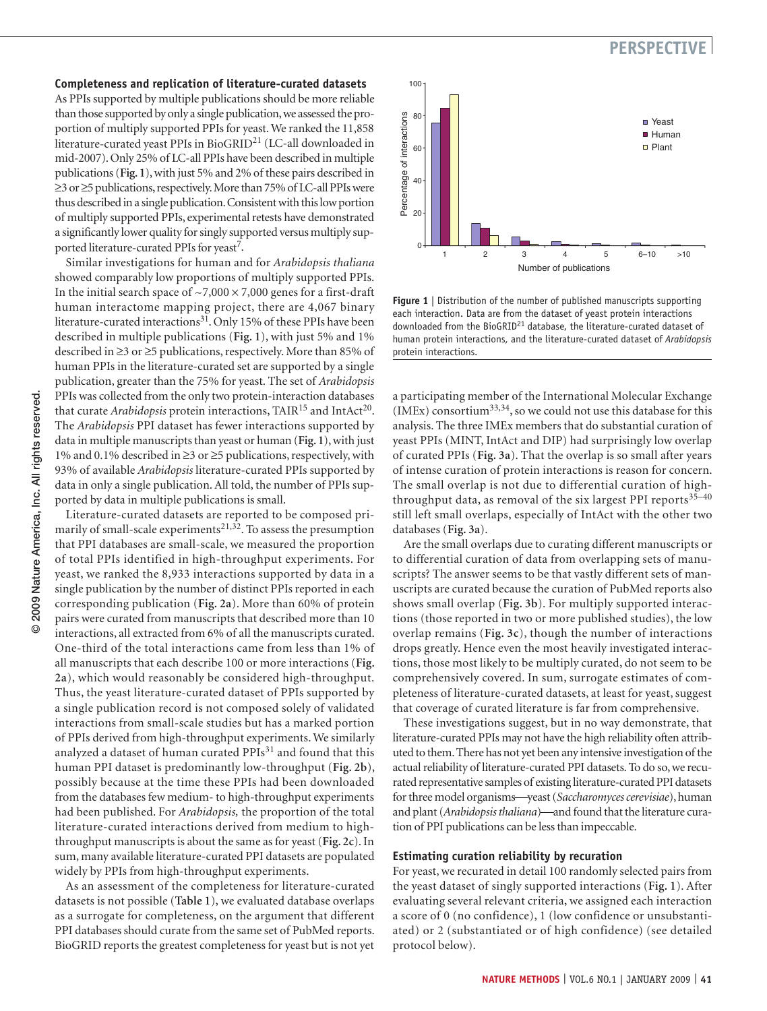### **Completeness and replication of literature-curated datasets**

As PPIs supported by multiple publications should be more reliable than those supported by only a single publication, we assessed the proportion of multiply supported PPIs for yeast. We ranked the 11,858 literature-curated yeast PPIs in BioGRID21 (LC-all downloaded in mid-2007). Only 25% of LC-all PPIs have been described in multiple publications (**Fig. 1**), with just 5% and 2% of these pairs described in ≥3 or ≥5 publications, respectively. More than 75% of LC-all PPIs were thus described in a single publication. Consistent with this low portion of multiply supported PPIs, experimental retests have demonstrated a significantly lower quality for singly supported versus multiply supported literature-curated PPIs for yeast<sup>7</sup>.

Similar investigations for human and for *Arabidopsis thaliana*  showed comparably low proportions of multiply supported PPIs. In the initial search space of  $\sim$ 7,000  $\times$  7,000 genes for a first-draft human interactome mapping project, there are 4,067 binary literature-curated interactions<sup>31</sup>. Only 15% of these PPIs have been described in multiple publications (**Fig. 1**), with just 5% and 1% described in ≥3 or ≥5 publications, respectively. More than 85% of human PPIs in the literature-curated set are supported by a single publication, greater than the 75% for yeast. The set of *Arabidopsis* PPIs was collected from the only two protein-interaction databases that curate *Arabidopsis* protein interactions, TAIR<sup>15</sup> and IntAct<sup>20</sup>. The *Arabidopsis* PPI dataset has fewer interactions supported by data in multiple manuscripts than yeast or human (**Fig. 1**), with just 1% and 0.1% described in ≥3 or ≥5 publications, respectively, with 93% of available *Arabidopsis* literature-curated PPIs supported by data in only a single publication. All told, the number of PPIs supported by data in multiple publications is small.

Literature-curated datasets are reported to be composed primarily of small-scale experiments<sup>21,32</sup>. To assess the presumption that PPI databases are small-scale, we measured the proportion of total PPIs identified in high-throughput experiments. For yeast, we ranked the 8,933 interactions supported by data in a single publication by the number of distinct PPIs reported in each corresponding publication (**Fig. 2a**). More than 60% of protein pairs were curated from manuscripts that described more than 10 interactions, all extracted from 6% of all the manuscripts curated. One-third of the total interactions came from less than 1% of all manuscripts that each describe 100 or more interactions (**Fig. 2a**), which would reasonably be considered high-throughput. Thus, the yeast literature-curated dataset of PPIs supported by a single publication record is not composed solely of validated interactions from small-scale studies but has a marked portion of PPIs derived from high-throughput experiments. We similarly analyzed a dataset of human curated PPIs<sup>31</sup> and found that this human PPI dataset is predominantly low-throughput (**Fig. 2b**), possibly because at the time these PPIs had been downloaded from the databases few medium- to high-throughput experiments had been published. For *Arabidopsis,* the proportion of the total literature-curated interactions derived from medium to highthroughput manuscripts is about the same as for yeast (**Fig. 2c**). In sum, many available literature-curated PPI datasets are populated widely by PPIs from high-throughput experiments.

As an assessment of the completeness for literature-curated datasets is not possible (**Table 1**), we evaluated database overlaps as a surrogate for completeness, on the argument that different PPI databases should curate from the same set of PubMed reports. BioGRID reports the greatest completeness for yeast but is not yet



**Figure 1** | Distribution of the number of published manuscripts supporting each interaction. Data are from the dataset of yeast protein interactions downloaded from the BioGRID<sup>21</sup> database, the literature-curated dataset of human protein interactions, and the literature-curated dataset of *Arabidopsis* protein interactions.

a participating member of the International Molecular Exchange  $(IMEx)$  consortium<sup>33,34</sup>, so we could not use this database for this analysis. The three IMEx members that do substantial curation of yeast PPIs (MINT, IntAct and DIP) had surprisingly low overlap of curated PPIs (**Fig. 3a**). That the overlap is so small after years of intense curation of protein interactions is reason for concern. The small overlap is not due to differential curation of highthroughput data, as removal of the six largest PPI reports $35-40$ still left small overlaps, especially of IntAct with the other two databases (**Fig. 3a**).

Are the small overlaps due to curating different manuscripts or to differential curation of data from overlapping sets of manuscripts? The answer seems to be that vastly different sets of manuscripts are curated because the curation of PubMed reports also shows small overlap (**Fig. 3b**). For multiply supported interactions (those reported in two or more published studies), the low overlap remains (**Fig. 3c**), though the number of interactions drops greatly. Hence even the most heavily investigated interactions, those most likely to be multiply curated, do not seem to be comprehensively covered. In sum, surrogate estimates of completeness of literature-curated datasets, at least for yeast, suggest that coverage of curated literature is far from comprehensive.

These investigations suggest, but in no way demonstrate, that literature-curated PPIs may not have the high reliability often attributed to them. There has not yet been any intensive investigation of the actual reliability of literature-curated PPI datasets. To do so, we recurated representative samples of existing literature-curated PPI datasets for three model organisms-yeast (*Saccharomyces cerevisiae*), human and plant (*Arabidopsis thaliana*)—and found that the literature curation of PPI publications can be less than impeccable.

#### **Estimating curation reliability by recuration**

For yeast, we recurated in detail 100 randomly selected pairs from the yeast dataset of singly supported interactions (**Fig. 1**). After evaluating several relevant criteria, we assigned each interaction a score of 0 (no confidence), 1 (low confidence or unsubstantiated) or 2 (substantiated or of high confidence) (see detailed protocol below).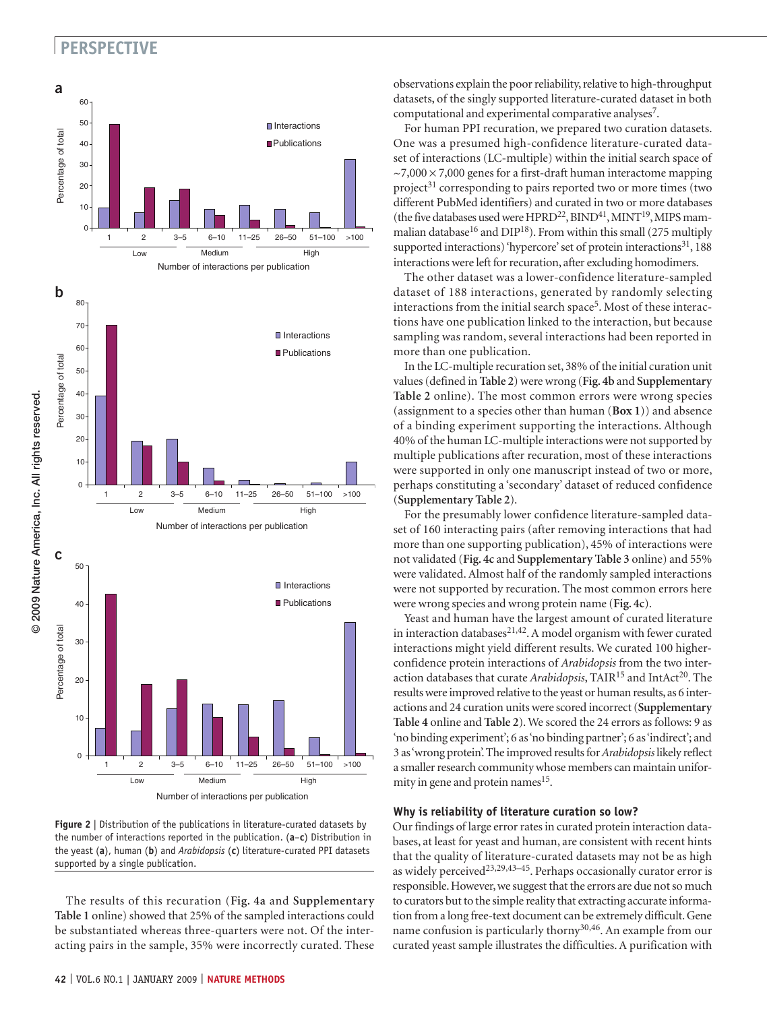

**Figure 2** | Distribution of the publications in literature-curated datasets by the number of interactions reported in the publication. (**a**–**c**) Distribution in the yeast (**a**), human (**b**) and *Arabidopsis* (**c**) literature-curated PPI datasets supported by a single publication.

The results of this recuration (**Fig. 4a** and **Supplementary Table 1** online) showed that 25% of the sampled interactions could be substantiated whereas three-quarters were not. Of the interacting pairs in the sample, 35% were incorrectly curated. These

observations explain the poor reliability, relative to high-throughput datasets, of the singly supported literature-curated dataset in both computational and experimental comparative analyses<sup>7</sup>.

For human PPI recuration, we prepared two curation datasets. One was a presumed high-confidence literature-curated dataset of interactions (LC-multiple) within the initial search space of  $\sim$ 7,000  $\times$ 7,000 genes for a first-draft human interactome mapping project<sup>31</sup> corresponding to pairs reported two or more times (two different PubMed identifiers) and curated in two or more databases (the five databases used were  $HPRD^{22}$ ,  $BIND^{41}$ ,  $MINT^{19}$ , MIPS mammalian database<sup>16</sup> and DIP<sup>18</sup>). From within this small (275 multiply supported interactions) 'hypercore' set of protein interactions<sup>31</sup>, 188 interactions were left for recuration, after excluding homodimers.

The other dataset was a lower-confidence literature-sampled dataset of 188 interactions, generated by randomly selecting interactions from the initial search space<sup>5</sup>. Most of these interactions have one publication linked to the interaction, but because sampling was random, several interactions had been reported in more than one publication.

In the LC-multiple recuration set, 38% of the initial curation unit values (defined in **Table 2**) were wrong (**Fig. 4b** and **Supplementary Table 2** online). The most common errors were wrong species (assignment to a species other than human (**Box 1**)) and absence of a binding experiment supporting the interactions. Although 40% of the human LC-multiple interactions were not supported by multiple publications after recuration, most of these interactions were supported in only one manuscript instead of two or more, perhaps constituting a 'secondary' dataset of reduced confidence (**Supplementary Table 2**).

For the presumably lower confidence literature-sampled dataset of 160 interacting pairs (after removing interactions that had more than one supporting publication), 45% of interactions were not validated (**Fig. 4c** and **Supplementary Table 3** online) and 55% were validated. Almost half of the randomly sampled interactions were not supported by recuration. The most common errors here were wrong species and wrong protein name (**Fig. 4c**).

Yeast and human have the largest amount of curated literature in interaction databases $21,42$ . A model organism with fewer curated interactions might yield different results. We curated 100 higherconfidence protein interactions of *Arabidopsis* from the two interaction databases that curate *Arabidopsis*, TAIR<sup>15</sup> and IntAct<sup>20</sup>. The results were improved relative to the yeast or human results, as 6 interactions and 24 curation units were scored incorrect (**Supplementary Table 4** online and **Table 2**). We scored the 24 errors as follows: 9 as 'no binding experiment'; 6 as 'no binding partner'; 6 as 'indirect'; and 3 as 'wrong protein'. The improved results for *Arabidopsis* likely reflect a smaller research community whose members can maintain uniformity in gene and protein names<sup>15</sup>.

#### **Why is reliability of literature curation so low?**

Our findings of large error rates in curated protein interaction databases, at least for yeast and human, are consistent with recent hints that the quality of literature-curated datasets may not be as high as widely perceived<sup>23,29,43-45</sup>. Perhaps occasionally curator error is responsible. However, we suggest that the errors are due not so much to curators but to the simple reality that extracting accurate information from a long free-text document can be extremely difficult. Gene name confusion is particularly thorny<sup>30,46</sup>. An example from our curated yeast sample illustrates the difficulties. A purification with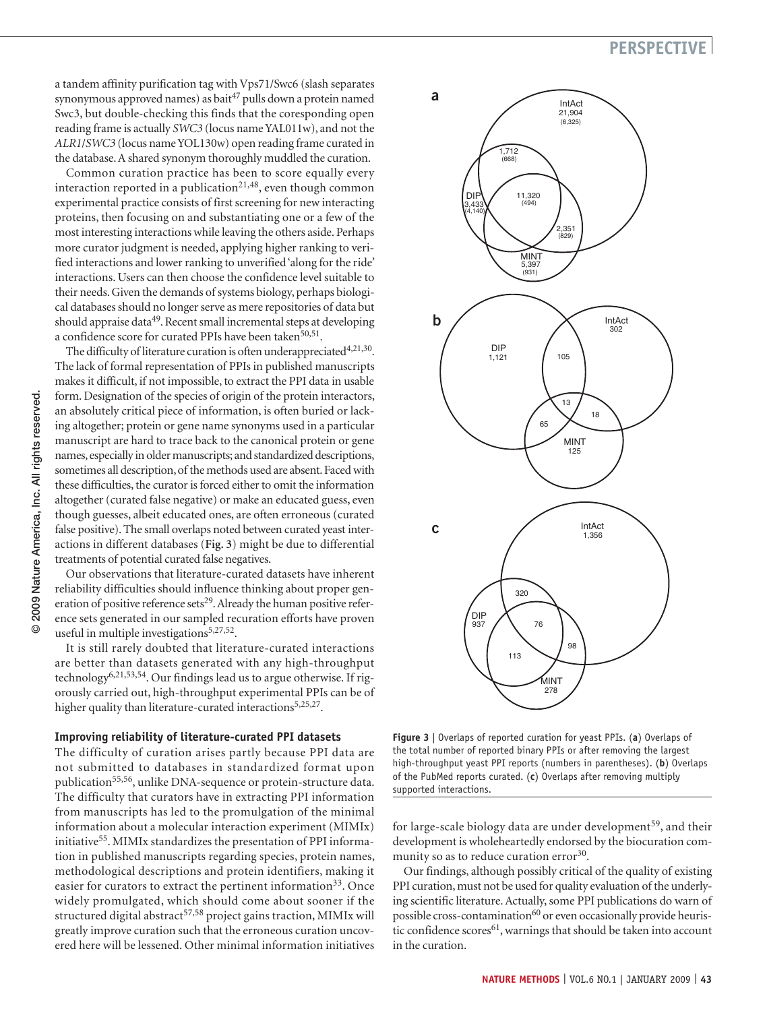a tandem affinity purification tag with Vps71/Swc6 (slash separates synonymous approved names) as bait $47$  pulls down a protein named Swc3, but double-checking this finds that the coresponding open reading frame is actually *SWC3* (locus name YAL011w), and not the *ALR1*/*SWC3* (locus name YOL130w) open reading frame curated in the database. A shared synonym thoroughly muddled the curation.

Common curation practice has been to score equally every interaction reported in a publication<sup>21,48</sup>, even though common experimental practice consists of first screening for new interacting proteins, then focusing on and substantiating one or a few of the most interesting interactions while leaving the others aside. Perhaps more curator judgment is needed, applying higher ranking to verified interactions and lower ranking to unverified 'along for the ride' interactions. Users can then choose the confidence level suitable to their needs. Given the demands of systems biology, perhaps biological databases should no longer serve as mere repositories of data but should appraise data<sup>49</sup>. Recent small incremental steps at developing a confidence score for curated PPIs have been taken<sup>50,51</sup>.

The difficulty of literature curation is often underappreciated $4,21,30$ . The lack of formal representation of PPIs in published manuscripts makes it difficult, if not impossible, to extract the PPI data in usable form. Designation of the species of origin of the protein interactors, an absolutely critical piece of information, is often buried or lacking altogether; protein or gene name synonyms used in a particular manuscript are hard to trace back to the canonical protein or gene names, especially in older manuscripts; and standardized descriptions, sometimes all description, of the methods used are absent. Faced with these difficulties, the curator is forced either to omit the information altogether (curated false negative) or make an educated guess, even though guesses, albeit educated ones, are often erroneous (curated false positive). The small overlaps noted between curated yeast interactions in different databases (**Fig. 3**) might be due to differential treatments of potential curated false negatives.

Our observations that literature-curated datasets have inherent reliability difficulties should influence thinking about proper generation of positive reference sets<sup>29</sup>. Already the human positive reference sets generated in our sampled recuration efforts have proven useful in multiple investigations<sup>5,27,52</sup>.

It is still rarely doubted that literature-curated interactions are better than datasets generated with any high-throughput technology6,21,53,54. Our findings lead us to argue otherwise. If rigorously carried out, high-throughput experimental PPIs can be of higher quality than literature-curated interactions<sup>5,25,27</sup>.

#### **Improving reliability of literature-curated PPI datasets**

The difficulty of curation arises partly because PPI data are not submitted to databases in standardized format upon publication<sup>55,56</sup>, unlike DNA-sequence or protein-structure data. The difficulty that curators have in extracting PPI information from manuscripts has led to the promulgation of the minimal information about a molecular interaction experiment (MIMIx) initiative<sup>55</sup>. MIMIx standardizes the presentation of PPI information in published manuscripts regarding species, protein names, methodological descriptions and protein identifiers, making it easier for curators to extract the pertinent information<sup>33</sup>. Once widely promulgated, which should come about sooner if the structured digital abstract<sup>57,58</sup> project gains traction, MIMIx will greatly improve curation such that the erroneous curation uncovered here will be lessened. Other minimal information initiatives



**Figure 3** | Overlaps of reported curation for yeast PPIs. (**a**) Overlaps of the total number of reported binary PPIs or after removing the largest high-throughput yeast PPI reports (numbers in parentheses). (**b**) Overlaps of the PubMed reports curated. (**c**) Overlaps after removing multiply supported interactions.

for large-scale biology data are under development<sup>59</sup>, and their development is wholeheartedly endorsed by the biocuration community so as to reduce curation error<sup>30</sup>.

Our findings, although possibly critical of the quality of existing PPI curation, must not be used for quality evaluation of the underlying scientific literature. Actually, some PPI publications do warn of possible cross-contamination<sup>60</sup> or even occasionally provide heuristic confidence scores<sup>61</sup>, warnings that should be taken into account in the curation.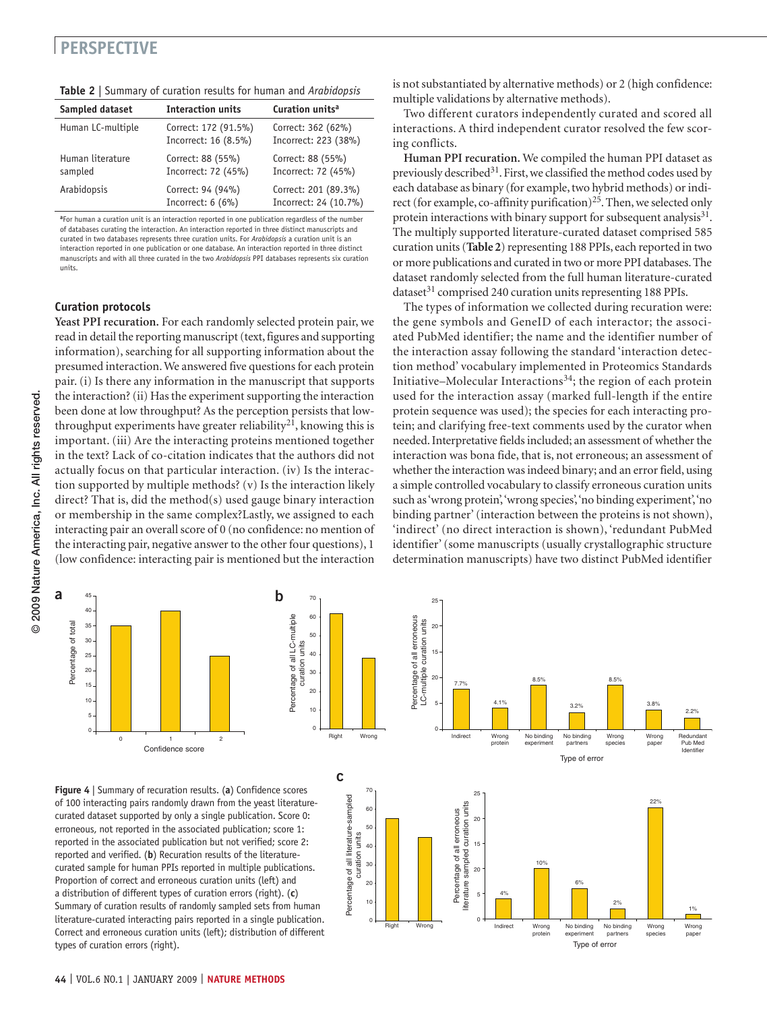|  | Table 2   Summary of curation results for human and Arabidopsis |  |  |  |  |  |  |
|--|-----------------------------------------------------------------|--|--|--|--|--|--|
|--|-----------------------------------------------------------------|--|--|--|--|--|--|

| Sampled dataset             | <b>Interaction units</b>                     | Curation units <sup>a</sup>                   |
|-----------------------------|----------------------------------------------|-----------------------------------------------|
| Human LC-multiple           | Correct: 172 (91.5%)<br>Incorrect: 16 (8.5%) | Correct: 362 (62%)<br>Incorrect: 223 (38%)    |
| Human literature<br>sampled | Correct: 88 (55%)<br>Incorrect: 72 (45%)     | Correct: 88 (55%)<br>Incorrect: 72 (45%)      |
| Arabidopsis                 | Correct: 94 (94%)<br>Incorrect: $6(6%)$      | Correct: 201 (89.3%)<br>Incorrect: 24 (10.7%) |

**<sup>a</sup>**For human a curation unit is an interaction reported in one publication regardless of the number of databases curating the interaction. An interaction reported in three distinct manuscripts and curated in two databases represents three curation units. For *Arabidopsis* a curation unit is an interaction reported in one publication or one database. An interaction reported in three distinct manuscripts and with all three curated in the two *Arabidopsis* PPI databases represents six curation units.

### **Curation protocols**

**Yeast PPI recuration.** For each randomly selected protein pair, we read in detail the reporting manuscript (text, figures and supporting information), searching for all supporting information about the presumed interaction. We answered five questions for each protein pair. (i) Is there any information in the manuscript that supports the interaction? (ii) Has the experiment supporting the interaction been done at low throughput? As the perception persists that lowthroughput experiments have greater reliability<sup>21</sup>, knowing this is important. (iii) Are the interacting proteins mentioned together in the text? Lack of co-citation indicates that the authors did not actually focus on that particular interaction. (iv) Is the interaction supported by multiple methods? (v) Is the interaction likely direct? That is, did the method(s) used gauge binary interaction or membership in the same complex?Lastly, we assigned to each interacting pair an overall score of 0 (no confidence: no mention of the interacting pair, negative answer to the other four questions), 1 (low confidence: interacting pair is mentioned but the interaction is not substantiated by alternative methods) or 2 (high confidence: multiple validations by alternative methods).

Two different curators independently curated and scored all interactions. A third independent curator resolved the few scoring conflicts.

**Human PPI recuration.** We compiled the human PPI dataset as previously described<sup>31</sup>. First, we classified the method codes used by each database as binary (for example, two hybrid methods) or indirect (for example, co-affinity purification)<sup>25</sup>. Then, we selected only protein interactions with binary support for subsequent analysis $31$ . The multiply supported literature-curated dataset comprised 585 curation units (**Table 2**) representing 188 PPIs, each reported in two or more publications and curated in two or more PPI databases. The dataset randomly selected from the full human literature-curated dataset<sup>31</sup> comprised 240 curation units representing 188 PPIs.

The types of information we collected during recuration were: the gene symbols and GeneID of each interactor; the associated PubMed identifier; the name and the identifier number of the interaction assay following the standard 'interaction detection method' vocabulary implemented in Proteomics Standards Initiative–Molecular Interactions<sup>34</sup>; the region of each protein used for the interaction assay (marked full-length if the entire protein sequence was used); the species for each interacting protein; and clarifying free-text comments used by the curator when needed. Interpretative fields included; an assessment of whether the interaction was bona fide, that is, not erroneous; an assessment of whether the interaction was indeed binary; and an error field, using a simple controlled vocabulary to classify erroneous curation units such as 'wrong protein', 'wrong species', 'no binding experiment', 'no binding partner' (interaction between the proteins is not shown), 'indirect' (no direct interaction is shown), 'redundant PubMed identifier' (some manuscripts (usually crystallographic structure determination manuscripts) have two distinct PubMed identifier





**c**

Percentage of all literature-sampled

**Figure 4** | Summary of recuration results. (**a**) Confidence scores of 100 interacting pairs randomly drawn from the yeast literaturecurated dataset supported by only a single publication. Score 0: erroneous, not reported in the associated publication; score 1: reported in the associated publication but not verified; score 2: reported and verified. (**b**) Recuration results of the literaturecurated sample for human PPIs reported in multiple publications. Proportion of correct and erroneous curation units (left) and a distribution of different types of curation errors (right). (**c**) Summary of curation results of randomly sampled sets from human literature-curated interacting pairs reported in a single publication. Correct and erroneous curation units (left); distribution of different types of curation errors (right).

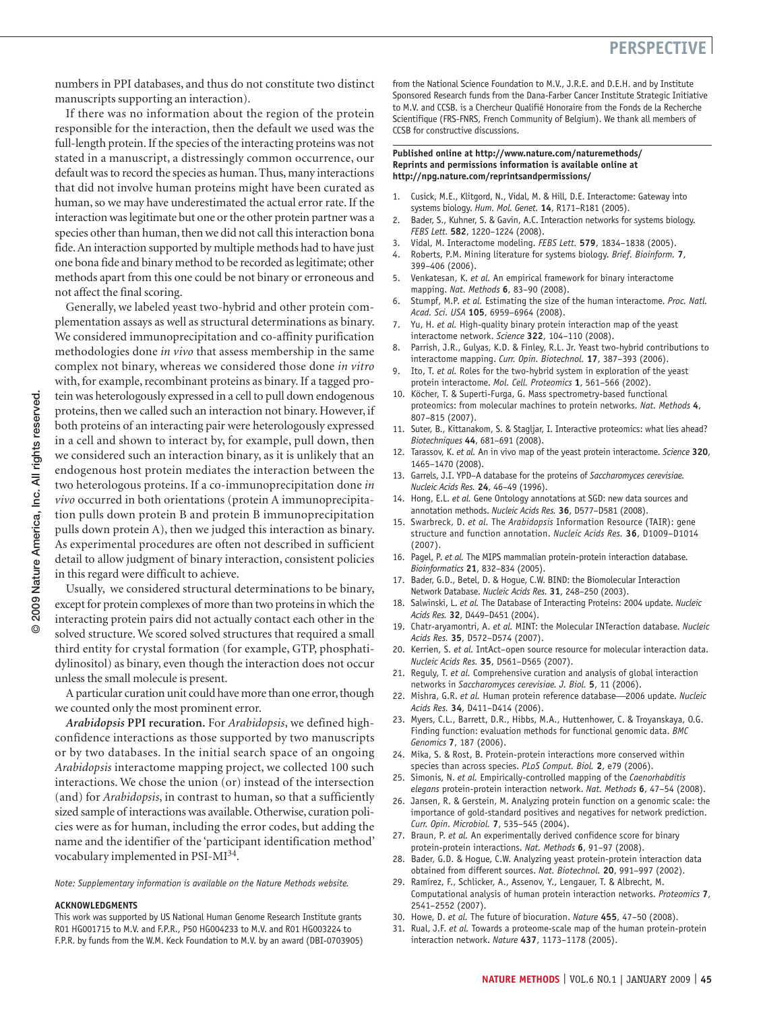numbers in PPI databases, and thus do not constitute two distinct manuscripts supporting an interaction).

If there was no information about the region of the protein responsible for the interaction, then the default we used was the full-length protein. If the species of the interacting proteins was not stated in a manuscript, a distressingly common occurrence, our default was to record the species as human. Thus, many interactions that did not involve human proteins might have been curated as human, so we may have underestimated the actual error rate. If the interaction was legitimate but one or the other protein partner was a species other than human, then we did not call this interaction bona fide. An interaction supported by multiple methods had to have just one bona fide and binary method to be recorded as legitimate; other methods apart from this one could be not binary or erroneous and not affect the final scoring.

Generally, we labeled yeast two-hybrid and other protein complementation assays as well as structural determinations as binary. We considered immunoprecipitation and co-affinity purification methodologies done *in vivo* that assess membership in the same complex not binary, whereas we considered those done *in vitro* with, for example, recombinant proteins as binary. If a tagged protein was heterologously expressed in a cell to pull down endogenous proteins, then we called such an interaction not binary. However, if both proteins of an interacting pair were heterologously expressed in a cell and shown to interact by, for example, pull down, then we considered such an interaction binary, as it is unlikely that an endogenous host protein mediates the interaction between the two heterologous proteins. If a co-immunoprecipitation done *in vivo* occurred in both orientations (protein A immunoprecipitation pulls down protein B and protein B immunoprecipitation pulls down protein A), then we judged this interaction as binary. As experimental procedures are often not described in sufficient detail to allow judgment of binary interaction, consistent policies in this regard were difficult to achieve.

Usually, we considered structural determinations to be binary, except for protein complexes of more than two proteins in which the interacting protein pairs did not actually contact each other in the solved structure. We scored solved structures that required a small third entity for crystal formation (for example, GTP, phosphatidylinositol) as binary, even though the interaction does not occur unless the small molecule is present.

A particular curation unit could have more than one error, though we counted only the most prominent error.

*Arabidopsis* **PPI recuration.** For *Arabidopsis*, we defined highconfidence interactions as those supported by two manuscripts or by two databases. In the initial search space of an ongoing *Arabidopsis* interactome mapping project, we collected 100 such interactions. We chose the union (or) instead of the intersection (and) for *Arabidopsis*, in contrast to human, so that a sufficiently sized sample of interactions was available. Otherwise, curation policies were as for human, including the error codes, but adding the name and the identifier of the 'participant identification method' vocabulary implemented in PSI-MI<sup>34</sup>.

*Note: Supplementary information is available on the Nature Methods website.*

#### **ACKNOWLEDGMENTS**

This work was supported by US National Human Genome Research Institute grants R01 HG001715 to M.V. and F.P.R., P50 HG004233 to M.V. and R01 HG003224 to F.P.R. by funds from the W.M. Keck Foundation to M.V. by an award (DBI-0703905) from the National Science Foundation to M.V., J.R.E. and D.E.H. and by Institute Sponsored Research funds from the Dana-Farber Cancer Institute Strategic Initiative to M.V. and CCSB. is a Chercheur Qualifié Honoraire from the Fonds de la Recherche Scientifique (FRS-FNRS, French Community of Belgium). We thank all members of CCSB for constructive discussions.

#### **Published online at http://www.nature.com/naturemethods/ Reprints and permissions information is available online at http://npg.nature.com/reprintsandpermissions/**

- 1. Cusick, M.E., Klitgord, N., Vidal, M. & Hill, D.E. Interactome: Gateway into systems biology. *Hum. Mol. Genet.* **14**, R171–R181 (2005).
- 2. Bader, S., Kuhner, S. & Gavin, A.C. Interaction networks for systems biology. *FEBS Lett.* **582**, 1220–1224 (2008).
- 3. Vidal, M. Interactome modeling. *FEBS Lett.* **579**, 1834–1838 (2005).
- 4. Roberts, P.M. Mining literature for systems biology. *Brief. Bioinform.* **7**, 399–406 (2006).
- 5. Venkatesan, K. *et al.* An empirical framework for binary interactome mapping. *Nat. Methods* **6**, 83–90 (2008).
- 6. Stumpf, M.P. *et al.* Estimating the size of the human interactome. *Proc. Natl. Acad. Sci. USA* **105**, 6959–6964 (2008).
- 7. Yu, H. *et al.* High-quality binary protein interaction map of the yeast interactome network. *Science* **322**, 104–110 (2008).
- 8. Parrish, J.R., Gulyas, K.D. & Finley, R.L. Jr. Yeast two-hybrid contributions to interactome mapping. *Curr. Opin. Biotechnol.* **17**, 387–393 (2006).
- Ito, T. *et al.* Roles for the two-hybrid system in exploration of the yeast protein interactome. *Mol. Cell. Proteomics* **1**, 561–566 (2002).
- 10. Köcher, T. & Superti-Furga, G. Mass spectrometry-based functional proteomics: from molecular machines to protein networks. *Nat. Methods* **4**, 807–815 (2007).
- 11. Suter, B., Kittanakom, S. & Stagljar, I. Interactive proteomics: what lies ahead? *Biotechniques* **44**, 681–691 (2008).
- 12. Tarassov, K. *et al.* An in vivo map of the yeast protein interactome. *Science* **320**, 1465–1470 (2008).
- 13. Garrels, J.I. YPD–A database for the proteins of *Saccharomyces cerevisiae. Nucleic Acids Res.* **24**, 46–49 (1996).
- 14. Hong, E.L. *et al.* Gene Ontology annotations at SGD: new data sources and annotation methods. *Nucleic Acids Res.* **36**, D577–D581 (2008).
- 15. Swarbreck, D. *et al.* The *Arabidopsis* Information Resource (TAIR): gene structure and function annotation. *Nucleic Acids Res.* **36**, D1009–D1014 (2007).
- 16. Pagel, P. *et al.* The MIPS mammalian protein-protein interaction database. *Bioinformatics* **21**, 832–834 (2005).
- 17. Bader, G.D., Betel, D. & Hogue, C.W. BIND: the Biomolecular Interaction Network Database. *Nucleic Acids Res.* **31**, 248–250 (2003).
- 18. Salwinski, L. *et al.* The Database of Interacting Proteins: 2004 update. *Nucleic Acids Res.* **32**, D449–D451 (2004).
- 19. Chatr-aryamontri, A. *et al.* MINT: the Molecular INTeraction database. *Nucleic Acids Res.* **35**, D572–D574 (2007).
- 20. Kerrien, S. *et al.* IntAct–open source resource for molecular interaction data. *Nucleic Acids Res.* **35**, D561–D565 (2007).
- 21. Reguly, T. *et al.* Comprehensive curation and analysis of global interaction networks in *Saccharomyces cerevisiae. J. Biol.* **5**, 11 (2006).
- 22. Mishra, G.R. et al. Human protein reference database-2006 update. *Nucleic Acids Res.* **34**, D411–D414 (2006).
- 23. Myers, C.L., Barrett, D.R., Hibbs, M.A., Huttenhower, C. & Troyanskaya, O.G. Finding function: evaluation methods for functional genomic data. *BMC Genomics* **7**, 187 (2006).
- 24. Mika, S. & Rost, B. Protein-protein interactions more conserved within species than across species. *PLoS Comput. Biol.* **2**, e79 (2006).
- 25. Simonis, N. *et al.* Empirically-controlled mapping of the *Caenorhabditis elegans* protein-protein interaction network. *Nat. Methods* **6**, 47–54 (2008).
- 26. Jansen, R. & Gerstein, M. Analyzing protein function on a genomic scale: the importance of gold-standard positives and negatives for network prediction. *Curr. Opin. Microbiol.* **7**, 535–545 (2004).
- 27. Braun, P. *et al.* An experimentally derived confidence score for binary protein-protein interactions. *Nat. Methods* **6**, 91–97 (2008).
- 28. Bader, G.D. & Hogue, C.W. Analyzing yeast protein-protein interaction data obtained from different sources. *Nat. Biotechnol.* **20**, 991–997 (2002).
- 29. Ramírez, F., Schlicker, A., Assenov, Y., Lengauer, T. & Albrecht, M. Computational analysis of human protein interaction networks. *Proteomics* **7**, 2541–2552 (2007).
- 30. Howe, D. *et al.* The future of biocuration. *Nature* **455**, 47–50 (2008).
- 31. Rual, J.F. *et al.* Towards a proteome-scale map of the human protein-protein interaction network. *Nature* **437**, 1173–1178 (2005).